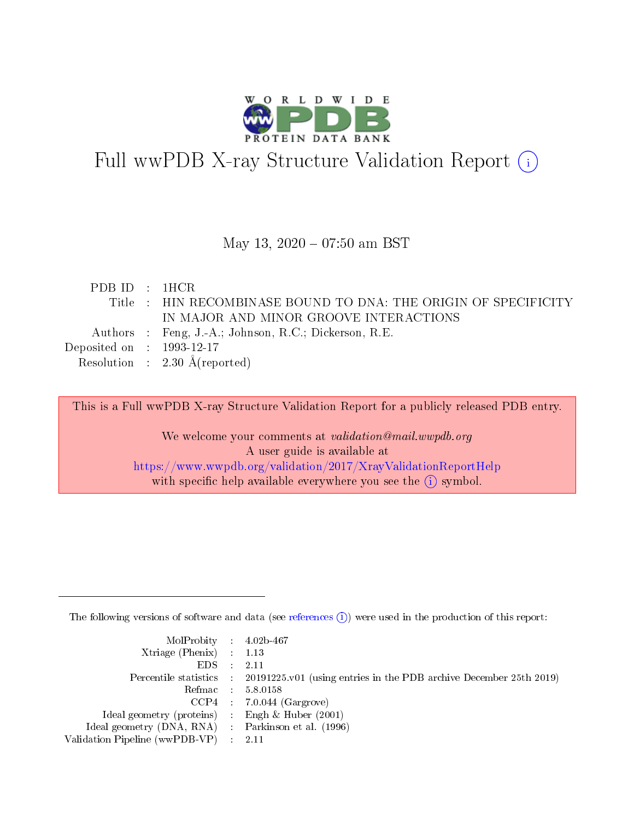

# Full wwPDB X-ray Structure Validation Report (i)

### May 13,  $2020 - 07:50$  am BST

| PDB ID : 1HCR                        |                                                                 |
|--------------------------------------|-----------------------------------------------------------------|
|                                      | Title : HIN RECOMBINASE BOUND TO DNA: THE ORIGIN OF SPECIFICITY |
|                                      | IN MAJOR AND MINOR GROOVE INTERACTIONS                          |
|                                      | Authors : Feng, J.-A.; Johnson, R.C.; Dickerson, R.E.           |
| Deposited on $\therefore$ 1993-12-17 |                                                                 |
|                                      | Resolution : $2.30 \text{ Å}$ (reported)                        |

This is a Full wwPDB X-ray Structure Validation Report for a publicly released PDB entry.

We welcome your comments at validation@mail.wwpdb.org A user guide is available at <https://www.wwpdb.org/validation/2017/XrayValidationReportHelp> with specific help available everywhere you see the  $(i)$  symbol.

The following versions of software and data (see [references](https://www.wwpdb.org/validation/2017/XrayValidationReportHelp#references)  $(i)$ ) were used in the production of this report:

| MolProbity : 4.02b-467                              |                                                                                            |
|-----------------------------------------------------|--------------------------------------------------------------------------------------------|
| Xtriage (Phenix) $: 1.13$                           |                                                                                            |
| $EDS = 2.11$                                        |                                                                                            |
|                                                     | Percentile statistics : 20191225.v01 (using entries in the PDB archive December 25th 2019) |
|                                                     | Refmac : 5.8.0158                                                                          |
|                                                     | $CCP4$ : 7.0.044 (Gargrove)                                                                |
| Ideal geometry (proteins) : Engh $\&$ Huber (2001)  |                                                                                            |
| Ideal geometry (DNA, RNA) : Parkinson et al. (1996) |                                                                                            |
| Validation Pipeline (wwPDB-VP) : 2.11               |                                                                                            |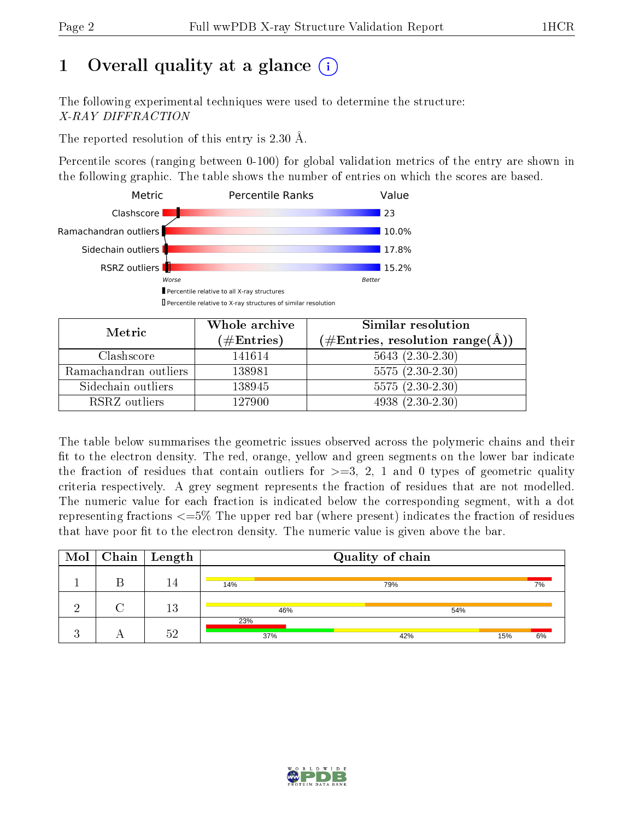# 1 [O](https://www.wwpdb.org/validation/2017/XrayValidationReportHelp#overall_quality)verall quality at a glance  $(i)$

The following experimental techniques were used to determine the structure: X-RAY DIFFRACTION

The reported resolution of this entry is 2.30 Å.

Percentile scores (ranging between 0-100) for global validation metrics of the entry are shown in the following graphic. The table shows the number of entries on which the scores are based.



| Metric                | Whole archive<br>$(\#\text{Entries})$ | Similar resolution<br>$(\#\text{Entries}, \text{resolution range}(\textup{\AA}))$ |
|-----------------------|---------------------------------------|-----------------------------------------------------------------------------------|
| Clashscore            | 141614                                | $5643(2.30-2.30)$                                                                 |
| Ramachandran outliers | 138981                                | $5575(2.30-2.30)$                                                                 |
| Sidechain outliers    | 138945                                | $5575(2.30-2.30)$                                                                 |
| RSRZ outliers         | 127900                                | $4938(2.30-2.30)$                                                                 |

The table below summarises the geometric issues observed across the polymeric chains and their fit to the electron density. The red, orange, yellow and green segments on the lower bar indicate the fraction of residues that contain outliers for  $\geq=3$ , 2, 1 and 0 types of geometric quality criteria respectively. A grey segment represents the fraction of residues that are not modelled. The numeric value for each fraction is indicated below the corresponding segment, with a dot representing fractions <=5% The upper red bar (where present) indicates the fraction of residues that have poor fit to the electron density. The numeric value is given above the bar.

| $\text{Mol}$ | $\overline{\text{Chain}}$   Length |            | Quality of chain |     |    |
|--------------|------------------------------------|------------|------------------|-----|----|
|              | 14                                 | 14%        | 79%              |     | 7% |
| $\Omega$     | 13                                 | 46%        | 54%              |     |    |
| ĸ.           | 59                                 | 23%<br>37% | 42%              | 15% | 6% |

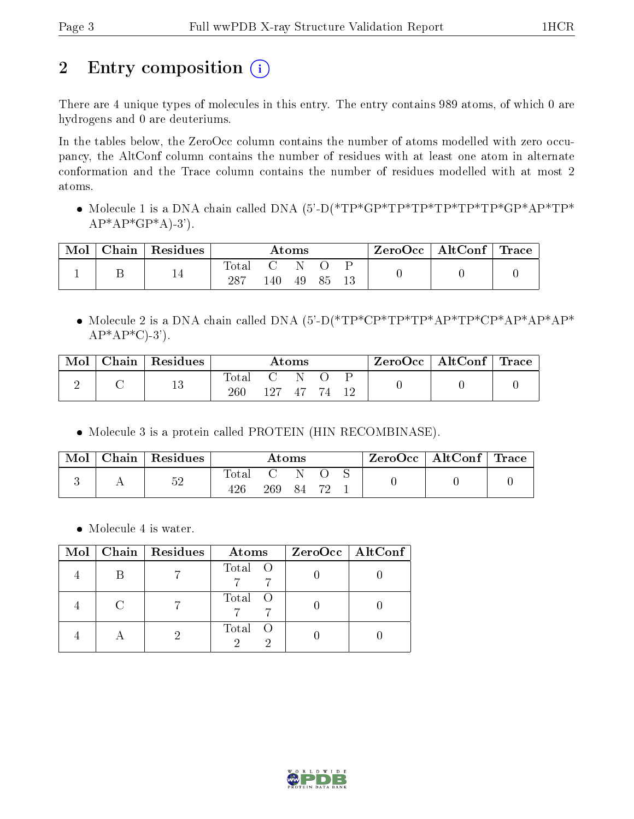# 2 Entry composition (i)

There are 4 unique types of molecules in this entry. The entry contains 989 atoms, of which 0 are hydrogens and 0 are deuteriums.

In the tables below, the ZeroOcc column contains the number of atoms modelled with zero occupancy, the AltConf column contains the number of residues with at least one atom in alternate conformation and the Trace column contains the number of residues modelled with at most 2 atoms.

• Molecule 1 is a DNA chain called DNA (5'-D(\*TP\*GP\*TP\*TP\*TP\*TP\*TP\*GP\*AP\*TP\*  $AP*AP*GP*A$ -3').

| Mol | Chain | $\perp$ Residues | Atoms              |                   |    |    | ZeroOcc | $\vert$ AltConf $\vert$ Trace |  |
|-----|-------|------------------|--------------------|-------------------|----|----|---------|-------------------------------|--|
|     |       |                  | $\rm Total$<br>287 | <b>C</b> 2<br>.40 | 49 | 85 |         |                               |  |

• Molecule 2 is a DNA chain called DNA  $(5'-D(*TP*CP*TP*TP*AP*TP*CP*AP*AP*AP*AP*)$  $AP*AP*C$ -3').

| Mol | Chain | $\mid$ Residues | $\rm{Atoms}$          |      |      |      |  | $\rm ZeroOcc$   AltConf   Trace |  |
|-----|-------|-----------------|-----------------------|------|------|------|--|---------------------------------|--|
|     |       | 19<br>TΟ        | $\text{Total}$<br>260 | 127. | - 47 | - 77 |  |                                 |  |

• Molecule 3 is a protein called PROTEIN (HIN RECOMBINASE).

| Mol | Chain Residues | $\rm{Atoms}$          |                   |    | ZeroOcc   AltConf   Trace |  |  |  |
|-----|----------------|-----------------------|-------------------|----|---------------------------|--|--|--|
|     | 52             | $_{\rm Total}$<br>426 | <b>C</b> 2<br>269 | 84 |                           |  |  |  |

• Molecule 4 is water.

| Mol | Chain Residues | Atoms   | $ZeroOcc$   AltConf |
|-----|----------------|---------|---------------------|
|     |                | Total O |                     |
|     |                | Total O |                     |
|     |                | Total O |                     |

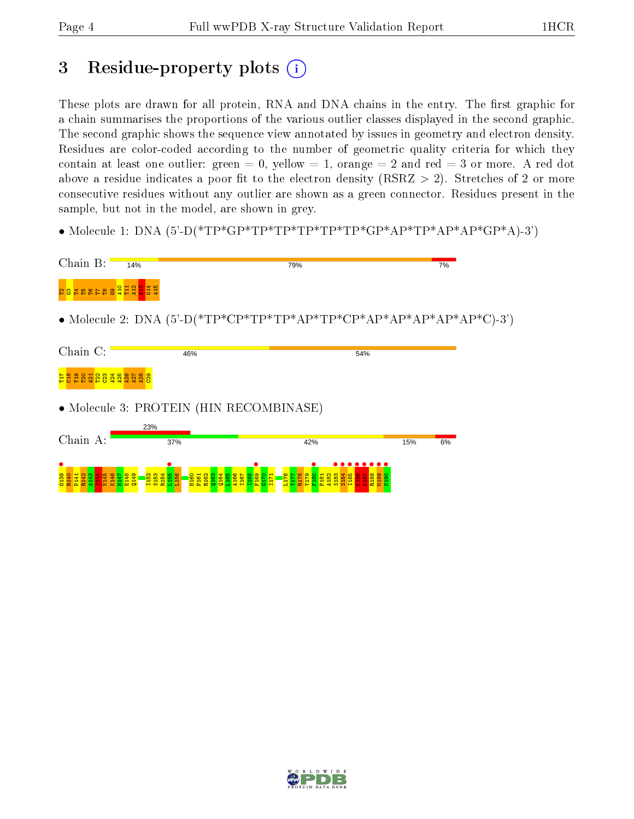# 3 Residue-property plots  $(i)$

These plots are drawn for all protein, RNA and DNA chains in the entry. The first graphic for a chain summarises the proportions of the various outlier classes displayed in the second graphic. The second graphic shows the sequence view annotated by issues in geometry and electron density. Residues are color-coded according to the number of geometric quality criteria for which they contain at least one outlier: green  $= 0$ , yellow  $= 1$ , orange  $= 2$  and red  $= 3$  or more. A red dot above a residue indicates a poor fit to the electron density (RSRZ  $> 2$ ). Stretches of 2 or more consecutive residues without any outlier are shown as a green connector. Residues present in the sample, but not in the model, are shown in grey.

• Molecule 1: DNA  $(5^{\circ}$ -D(\*TP\*GP\*TP\*TP\*TP\*TP\*TP\*GP\*AP\*TP\*AP\*AP\*GP\*A)-3')



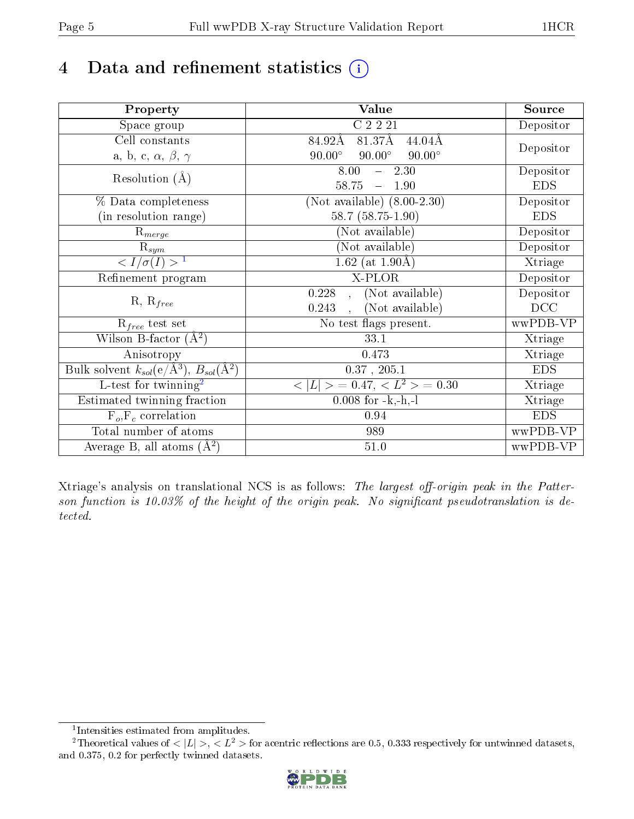# 4 Data and refinement statistics  $(i)$

| Property                                                         | Value                                                    | Source     |
|------------------------------------------------------------------|----------------------------------------------------------|------------|
| Space group                                                      | C2221                                                    | Depositor  |
| Cell constants                                                   | 81.37Å<br>84.92Å<br>$44.04\text{\AA}$                    |            |
| a, b, c, $\alpha$ , $\beta$ , $\gamma$                           | $90.00^\circ$<br>$90.00^\circ$<br>$90.00^\circ$          | Depositor  |
| Resolution $(A)$                                                 | 8.00<br>$-2.30$                                          | Depositor  |
|                                                                  | 58.75<br>1.90<br>$\equiv$                                | <b>EDS</b> |
| % Data completeness                                              | (Not available) $(8.00-2.30)$                            | Depositor  |
| (in resolution range)                                            | 58.7 (58.75-1.90)                                        | <b>EDS</b> |
| $R_{merge}$                                                      | (Not available)                                          | Depositor  |
| $\mathrm{R}_{sym}$                                               | (Not available)                                          | Depositor  |
| $\sqrt{I/\sigma}(I) > 1$                                         | $1.62$ (at 1.90Å)                                        | Xtriage    |
| Refinement program                                               | X-PLOR                                                   | Depositor  |
|                                                                  | (Not available)<br>0.228                                 | Depositor  |
| $R, R_{free}$                                                    | (Not available)<br>0.243<br>$\mathbf{r}$                 | DCC        |
| $R_{free}$ test set                                              | No test flags present.                                   | wwPDB-VP   |
| Wilson B-factor $(A^2)$                                          | 33.1                                                     | Xtriage    |
| Anisotropy                                                       | 0.473                                                    | Xtriage    |
| Bulk solvent $k_{sol}(\text{e}/\text{A}^3), B_{sol}(\text{A}^2)$ | $0.37$ , $205.1$                                         | <b>EDS</b> |
| L-test for twinning <sup>2</sup>                                 | $\langle  L  \rangle = 0.47, \langle L^2 \rangle = 0.30$ | Xtriage    |
| Estimated twinning fraction                                      | $0.008$ for $-k,-h,-l$                                   | Xtriage    |
| $F_o, F_c$ correlation                                           | 0.94                                                     | <b>EDS</b> |
| Total number of atoms                                            | 989                                                      | wwPDB-VP   |
| Average B, all atoms $(A^2)$                                     | $51.0\,$                                                 | wwPDB-VP   |

Xtriage's analysis on translational NCS is as follows: The largest off-origin peak in the Patterson function is  $10.03\%$  of the height of the origin peak. No significant pseudotranslation is detected.

<sup>&</sup>lt;sup>2</sup>Theoretical values of  $\langle |L| \rangle$ ,  $\langle L^2 \rangle$  for acentric reflections are 0.5, 0.333 respectively for untwinned datasets, and 0.375, 0.2 for perfectly twinned datasets.



<span id="page-4-1"></span><span id="page-4-0"></span><sup>1</sup> Intensities estimated from amplitudes.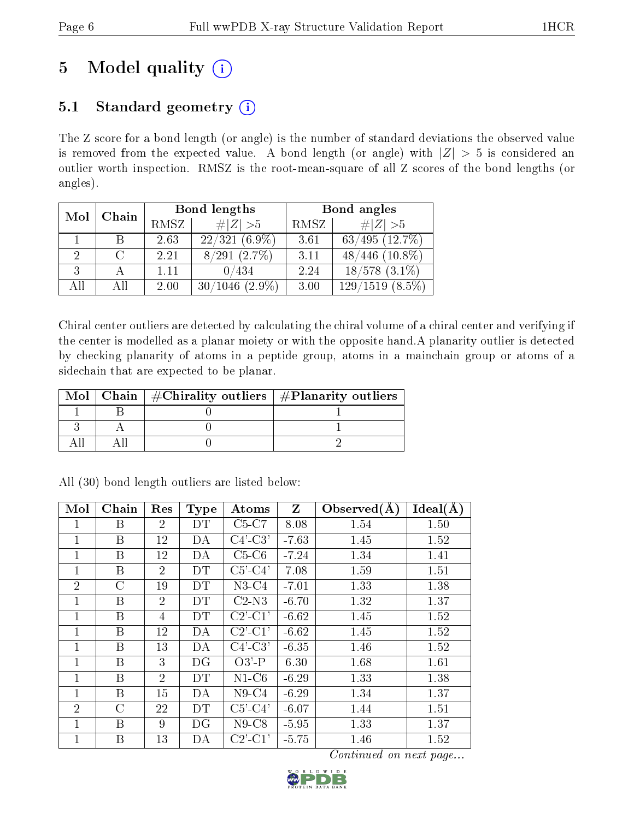# 5 Model quality  $(i)$

## 5.1 Standard geometry  $(i)$

The Z score for a bond length (or angle) is the number of standard deviations the observed value is removed from the expected value. A bond length (or angle) with  $|Z| > 5$  is considered an outlier worth inspection. RMSZ is the root-mean-square of all Z scores of the bond lengths (or angles).

| Mol | Chain         |          | Bond lengths                    | Bond angles |                                     |  |
|-----|---------------|----------|---------------------------------|-------------|-------------------------------------|--|
|     |               | RMSZ     | # $ Z >5$                       | RMSZ        | # $ Z >5$                           |  |
|     |               | 2.63     | $(6.9\%)$<br>22/321             | 3.61        | $63/495$ $(12.7\%)$                 |  |
| 2   | $\mathcal{C}$ | 2.21     | $(2.7\%)$<br>$^\prime291$<br>87 | 3.11        | $(10.8\%)$<br>$^{\prime}446$        |  |
| 3   |               | $1.11\,$ | 0/434                           | 2.24        | $18/578$ $(3.1\%)$                  |  |
| All | All           | 2.00     | $(2.9\%)$<br>30/                | 3.00        | $(8.5\%)$<br>129<br>$^{\prime}1519$ |  |

Chiral center outliers are detected by calculating the chiral volume of a chiral center and verifying if the center is modelled as a planar moiety or with the opposite hand.A planarity outlier is detected by checking planarity of atoms in a peptide group, atoms in a mainchain group or atoms of a sidechain that are expected to be planar.

|  | Mol   Chain   $\#\text{Chirality outliers}$   $\#\text{Planarity outliers}$ |
|--|-----------------------------------------------------------------------------|
|  |                                                                             |
|  |                                                                             |
|  |                                                                             |

| Mol            | Chain   | Res            | <b>Type</b> | Atoms                               | Z       | Observed $(A)$ | Ideal(A) |
|----------------|---------|----------------|-------------|-------------------------------------|---------|----------------|----------|
|                | Β       | $\overline{2}$ | DT          | $C5-C7$                             | 8.08    | 1.54           | 1.50     |
| 1              | Β       | 12             | DA          | $C4'-C3'$                           | $-7.63$ | 1.45           | 1.52     |
| $\mathbf{1}$   | B       | 12             | DA          | $C5-C6$                             | $-7.24$ | 1.34           | 1.41     |
| 1              | Β       | $\overline{2}$ | DT          | $C5'-C4'$                           | 7.08    | 1.59           | 1.51     |
| $\overline{2}$ | $\rm C$ | 19             | DT          | $N3-C4$                             | $-7.01$ | 1.33           | 1.38     |
| $\mathbf{1}$   | B       | $\overline{2}$ | DT          | $C2-N3$                             | $-6.70$ | 1.32           | 1.37     |
| 1              | Β       | 4              | DT          | $C2$ <sup>-</sup> $C1$ <sup>'</sup> | $-6.62$ | 1.45           | 1.52     |
| 1              | B       | 12             | DA          | $C2$ <sup>-</sup> $C1$ <sup>'</sup> | $-6.62$ | 1.45           | 1.52     |
| $\mathbf{1}$   | B       | 13             | DA          | $C4'-C3'$                           | $-6.35$ | 1.46           | 1.52     |
| 1              | Β       | 3              | DG          | $O3'$ -P                            | 6.30    | 1.68           | 1.61     |
| 1              | B       | $\overline{2}$ | DT          | $N1-C6$                             | $-6.29$ | 1.33           | 1.38     |
| 1              | B       | 15             | DA          | $N9-C4$                             | $-6.29$ | 1.34           | 1.37     |
| $\overline{2}$ | $\rm C$ | 22             | DT          | $C5'-C4'$                           | $-6.07$ | 1.44           | 1.51     |
| 1              | B       | 9              | DG          | $N9$ -C $8$                         | $-5.95$ | 1.33           | 1.37     |
| 1              | B       | 13             | DА          | $C2$ '-C1'                          | $-5.75$ | 1.46           | 1.52     |

All (30) bond length outliers are listed below:

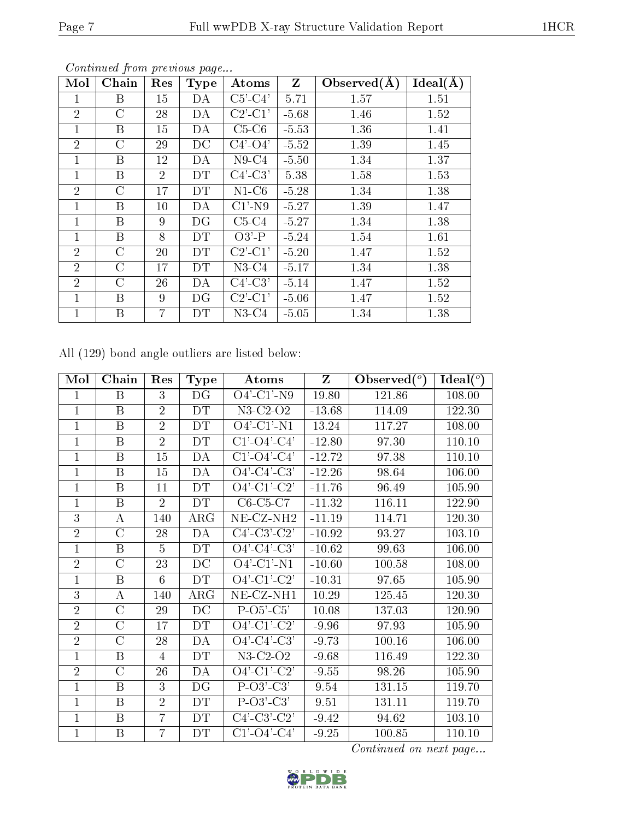| Mol            | Chain            | Res            | <b>Type</b> | Atoms                             | $Z_{\parallel}$ | Observed $(\AA)$ | Ideal(A) |
|----------------|------------------|----------------|-------------|-----------------------------------|-----------------|------------------|----------|
| 1              | B                | 15             | DA          | $C5'-C4'$                         | 5.71            | 1.57             | 1.51     |
| $\overline{2}$ | $\rm C$          | 28             | DA          | $C2'$ - $C1'$                     | $-5.68$         | 1.46             | 1.52     |
| $\mathbf{1}$   | $\boldsymbol{B}$ | 15             | DA          | $C5-C6$                           | $-5.53$         | 1.36             | 1.41     |
| $\overline{2}$ | $\mathcal{C}$    | 29             | DC          | $C4'-O4'$                         | $-5.52$         | 1.39             | 1.45     |
| $\mathbf{1}$   | B                | 12             | DA          | $N9-C4$                           | $-5.50$         | 1.34             | 1.37     |
| $\mathbf{1}$   | B                | $\overline{2}$ | DT          | $C4'-C3'$                         | 5.38            | 1.58             | 1.53     |
| $\overline{2}$ | $\mathcal{C}$    | 17             | DT          | $N1-C6$                           | $-5.28$         | 1.34             | 1.38     |
| $\mathbf{1}$   | B                | 10             | DA          | $C1'$ -N9                         | $-5.27$         | 1.39             | 1.47     |
| $\mathbf{1}$   | B                | 9              | DG          | $C5-C4$                           | $-5.27$         | 1.34             | 1.38     |
| $\mathbf{1}$   | $\boldsymbol{B}$ | 8              | DT          | $O3'$ -P                          | $-5.24$         | 1.54             | 1.61     |
| $\overline{2}$ | $\mathcal{C}$    | 20             | <b>DT</b>   | $\overline{C}2$ <sup>'</sup> -C1' | $-5.20$         | 1.47             | 1.52     |
| $\overline{2}$ | $\rm C$          | 17             | DT          | $N3-C4$                           | $-5.17$         | 1.34             | 1.38     |
| $\overline{2}$ | C                | 26             | DA          | $C4'$ -C3'                        | $-5.14$         | 1.47             | 1.52     |
| 1              | B                | 9              | DG          | $C2'$ - $C1'$                     | $-5.06$         | 1.47             | 1.52     |
| $\mathbf{1}$   | B                | $\overline{7}$ | DT          | $N3-C4$                           | $-5.05$         | 1.34             | 1.38     |

All (129) bond angle outliers are listed below:

| Mol            | Chain                   | Res            | <b>Type</b>     | Atoms                         | Z        | Observed $(°)$ | Ideal $(°)$ |
|----------------|-------------------------|----------------|-----------------|-------------------------------|----------|----------------|-------------|
| 1              | $\boldsymbol{B}$        | 3              | DG              | $O4'$ -C1'-N9                 | 19.80    | 121.86         | 108.00      |
| $\mathbf{1}$   | $\mathbf B$             | $\overline{2}$ | DT              | $N3-C2-O2$                    | $-13.68$ | 114.09         | 122.30      |
| $\mathbf{1}$   | $\overline{\mathrm{B}}$ | $\overline{2}$ | DT              | $O4'$ -C1'-N1                 | 13.24    | 117.27         | 108.00      |
| $\mathbf{1}$   | $\boldsymbol{B}$        | $\overline{2}$ | DT              | $C1' - O4' - C4'$             | $-12.80$ | 97.30          | 110.10      |
| $\overline{1}$ | B                       | 15             | DA              | $C1'$ - $O4'$ - $C4'$         | $-12.72$ | 97.38          | 110.10      |
| 1              | B                       | 15             | DA              | $O4'$ -C4'-C3'                | $-12.26$ | 98.64          | 106.00      |
| $\overline{1}$ | $\boldsymbol{B}$        | 11             | <b>DT</b>       | $O4'$ -C1'-C2'                | $-11.76$ | 96.49          | 105.90      |
| $\mathbf{1}$   | $\, {\bf B}$            | $\overline{2}$ | DT              | $C6-C5-C7$                    | $-11.32$ | 116.11         | 122.90      |
| 3              | А                       | 140            | ARG             | $\overline{\text{NE-CL-NH2}}$ | $-11.19$ | 114.71         | 120.30      |
| $\overline{2}$ | $\overline{C}$          | 28             | DA              | $C4'$ - $C3'$ - $C2'$         | $-10.92$ | 93.27          | 103.10      |
| $\mathbf{1}$   | B                       | $\overline{5}$ | <b>DT</b>       | $O4'$ -C4'-C3'                | $-10.62$ | 99.63          | 106.00      |
| $\overline{2}$ | $\overline{C}$          | 23             | $\rm DC$        | $O4'$ -C1'-N1                 | $-10.60$ | 100.58         | 108.00      |
| $\mathbf{1}$   | B                       | 6              | DT              | $O4'$ -C1'-C2'                | $-10.31$ | 97.65          | 105.90      |
| 3              | A                       | 140            | $\rm{ARG}$      | NE-CZ-NH1                     | 10.29    | 125.45         | 120.30      |
| $\overline{2}$ | $\overline{\rm C}$      | 29             | $\overline{DC}$ | $P-O5-C5'$                    | 10.08    | 137.03         | 120.90      |
| $\overline{2}$ | C                       | 17             | DT              | $O4'$ -C1'-C2'                | $-9.96$  | 97.93          | 105.90      |
| $\overline{2}$ | $\overline{C}$          | 28             | DA              | $O4'$ -C4'-C3'                | $-9.73$  | 100.16         | 106.00      |
| $\overline{1}$ | $\, {\bf B}$            | $\overline{4}$ | <b>DT</b>       | $N3-C2-O2$                    | $-9.68$  | 116.49         | 122.30      |
| $\overline{2}$ | $\overline{C}$          | 26             | DA              | $O4'-C1'-C2'$                 | $-9.55$  | 98.26          | 105.90      |
| $\mathbf{1}$   | $\boldsymbol{B}$        | 3              | DG              | $P-O3'-C3'$                   | 9.54     | 131.15         | 119.70      |
| $\mathbf{1}$   | $\boldsymbol{B}$        | $\overline{2}$ | DT              | $P-O3'-C3'$                   | 9.51     | 131.11         | 119.70      |
| $\overline{1}$ | B                       | $\overline{7}$ | DT              | $C4'-C3'-C2'$                 | $-9.42$  | 94.62          | 103.10      |
| $\mathbf 1$    | B                       | $\overline{7}$ | DT              | $C1$ '-O4'- $\overline{C4}$ ' | $-9.25$  | 100.85         | 110.10      |

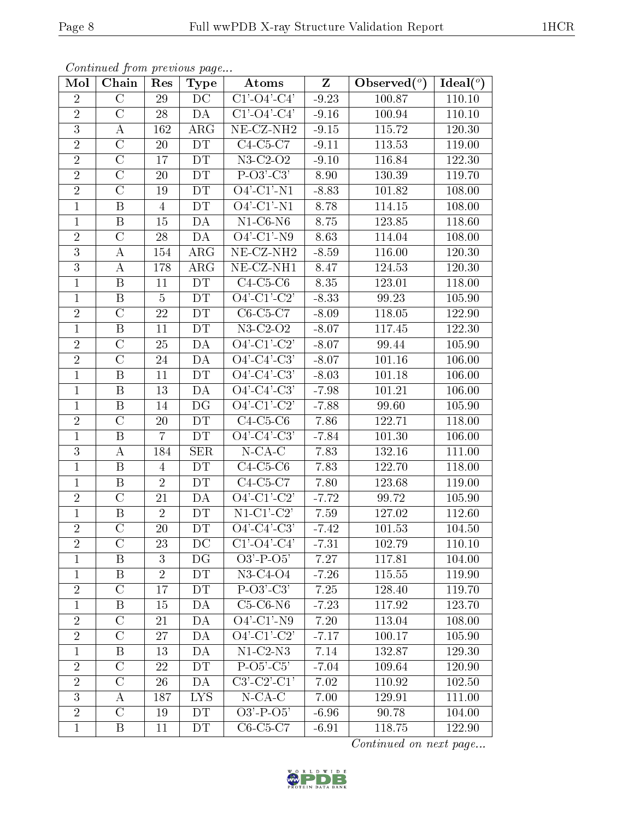| Mol            | Chain              | Res             | <b>Type</b>     | Atoms                                  | $Z_{\parallel}$ | Observed $\overline{(^{\circ})}$ | Ideal( $\overline{^{\circ}}$ ) |
|----------------|--------------------|-----------------|-----------------|----------------------------------------|-----------------|----------------------------------|--------------------------------|
| $\overline{2}$ | $\overline{C}$     | 29              | DC              | $C1' - O4' - C4'$                      | $-9.23$         | 100.87                           | 110.10                         |
| $\overline{2}$ | $\overline{C}$     | 28              | DA              | $C1'$ - $O4'$ - $C4'$                  | $-9.16$         | 100.94                           | 110.10                         |
| $\overline{3}$ | А                  | 162             | $\rm{ARG}$      | $\overline{\text{NE- CZ-NH2}}$         | $-9.15$         | 115.72                           | 120.30                         |
| $\overline{2}$ | $\mathcal{C}$      | 20              | <b>DT</b>       | $C4-C5-C7$                             | $-9.11$         | 113.53                           | 119.00                         |
| $\overline{2}$ | $\overline{\rm C}$ | $\overline{1}7$ | DT              | $N3-C2-O2$                             | $-9.10$         | 116.84                           | 122.30                         |
| $\overline{2}$ | $\mathcal{C}$      | 20              | <b>DT</b>       | $P-O3'-C3'$                            | 8.90            | 130.39                           | 119.70                         |
| $\overline{2}$ | $\overline{C}$     | 19              | DT              | $O4'$ -C1'-N1                          | $-8.83$         | 101.82                           | 108.00                         |
| $\mathbf{1}$   | $\, {\bf B}$       | $\overline{4}$  | DT              | $O4'$ -C1'-N1                          | 8.78            | 114.15                           | 108.00                         |
| $\mathbf{1}$   | $\, {\bf B}$       | 15              | DA              | $N1-C6-N6$                             | 8.75            | 123.85                           | 118.60                         |
| $\sqrt{2}$     | $\mathcal{C}$      | 28              | $\overline{DA}$ | $\overline{O4'-C1'-N9}$                | 8.63            | 114.04                           | 108.00                         |
| 3              | А                  | 154             | $\rm{ARG}$      | $NE- CZ-NH2$                           | $-8.59$         | 116.00                           | 120.30                         |
| $\overline{3}$ | А                  | 178             | ARG             | $\overline{\text{NE- CZ-N}}\text{H1}$  | 8.47            | 124.53                           | 120.30                         |
| $\mathbf{1}$   | $\boldsymbol{B}$   | 11              | DT              | $C4-C5-C6$                             | 8.35            | 123.01                           | 118.00                         |
| $\mathbf{1}$   | B                  | $\overline{5}$  | DT              | $O4'$ -C1'-C2'                         | $-8.33$         | 99.23                            | 105.90                         |
| $\overline{2}$ | $\overline{C}$     | 22              | DT              | $C6-C5-C7$                             | $-8.09$         | 118.05                           | <b>122.90</b>                  |
| $\mathbf{1}$   | $\, {\bf B}$       | 11              | DT              | $N3-C2-O2$                             | $-8.07$         | 117.45                           | 122.30                         |
| $\overline{2}$ | $\mathcal{C}$      | 25              | DA              | $O4\overline{C1\overline{C2'}}$        | $-8.07$         | 99.44                            | 105.90                         |
| $\overline{2}$ | $\overline{C}$     | 24              | DA              | $O4'-C4'-C3'$                          | $-8.07$         | 101.16                           | 106.00                         |
| $\mathbf{1}$   | $\, {\bf B}$       | 11              | DT              | $O4'$ -C4'-C3'                         | $-8.03$         | 101.18                           | 106.00                         |
| $\mathbf{1}$   | $\, {\bf B}$       | 13              | DA              | $O4'$ -C4'-C3'                         | $-7.98$         | 101.21                           | 106.00                         |
| $\mathbf{1}$   | $\boldsymbol{B}$   | 14              | DG              | $O4'-C1'-C2'$                          | $-7.88$         | 99.60                            | 105.90                         |
| $\overline{2}$ | $\overline{\rm C}$ | 20              | DT              | $C4-C5-C6$                             | 7.86            | 122.71                           | 118.00                         |
| $\mathbf{1}$   | B                  | $\overline{7}$  | DT              | $O4'-C4'-C3'$                          | $-7.84$         | 101.30                           | 106.00                         |
| $\overline{3}$ | $\boldsymbol{A}$   | 184             | <b>SER</b>      | $N$ -CA-C                              | 7.83            | 132.16                           | 111.00                         |
| $\mathbf{1}$   | $\boldsymbol{B}$   | $\overline{4}$  | DT              | $C4-C5-C6$                             | 7.83            | 122.70                           | 118.00                         |
| $\mathbf{1}$   | $\boldsymbol{B}$   | $\overline{2}$  | DT              | $C4-C5-C7$                             | 7.80            | 123.68                           | 119.00                         |
| $\overline{2}$ | $\mathcal{C}$      | 21              | DA              | $O4'$ -C1'-C2'                         | $-7.72$         | 99.72                            | 105.90                         |
| $\mathbf{1}$   | $\, {\bf B}$       | $\overline{2}$  | DT              | $N1-C1-C2'$                            | 7.59            | 127.02                           | 112.60                         |
| $\overline{2}$ | $\mathcal{C}$      | $20\,$          | DT              | $\overline{O4'$ -C4'-C3'               | $-7.42$         | 101.53                           | 104.50                         |
| $\overline{2}$ | $\mathcal C$       | 23              | $\rm DC$        | $\overline{C1'\text{-}O4'\text{-}C4'}$ | $-7.31$         | 102.79                           | 110.10                         |
| 1              | Β                  | 3               | DG              | $O3'$ -P- $O5'$                        | 7.27            | 117.81                           | 104.00                         |
| $\mathbf{1}$   | $\mathbf B$        | $\overline{2}$  | DT              | $N3-C4-O4$                             | $-7.26$         | 115.55                           | 119.90                         |
| $\sqrt{2}$     | $\rm C$            | 17              | <b>DT</b>       | $P-O3'-C3'$                            | 7.25            | 128.40                           | 119.70                         |
| $\mathbf{1}$   | $\boldsymbol{B}$   | 15              | DA              | $C5-C6-N6$                             | $-7.23$         | 117.92                           | 123.70                         |
| $\overline{2}$ | $\mathcal{C}$      | 21              | DA              | $O4'$ -C1'-N9                          | 7.20            | 113.04                           | 108.00                         |
| $\overline{2}$ | $\mathcal{C}$      | 27              | DA              | $O4'$ -C1'-C2'                         | $-7.17$         | 100.17                           | 105.90                         |
| $\mathbf{1}$   | Β                  | 13              | DA              | $N1-C2-N3$                             | 7.14            | 132.87                           | 129.30                         |
| $\overline{2}$ | $\mathcal{C}$      | 22              | DT              | $P-O5'-C5'$                            | $-7.04$         | 109.64                           | 120.90                         |
| $\overline{2}$ | $\overline{\rm C}$ | 26              | DA              | $C3'-C2'-C1'$                          | 7.02            | 110.92                           | 102.50                         |
| 3              | A                  | 187             | LYS.            | $N$ -CA-C                              | 7.00            | 129.91                           | 111.00                         |
| $\overline{2}$ | $\mathcal{C}$      | 19              | DT              | $O3'$ -P- $O5'$                        | $-6.96$         | 90.78                            | 104.00                         |
| $\mathbf{1}$   | Β                  | 11              | DT              | $C6-C5-C7$                             | $-6.91$         | 118.75                           | 122.90                         |

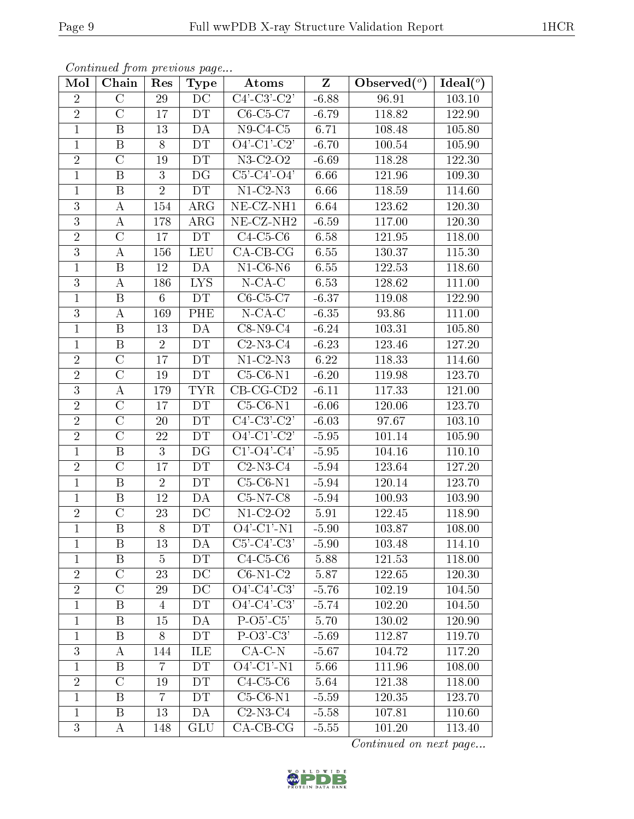| Mol            | Chain                   | Res            | <b>Type</b>              | Atoms                                                            | $Z_{\parallel}$ | Observed $(°)$ | Ideal $(°)$ |
|----------------|-------------------------|----------------|--------------------------|------------------------------------------------------------------|-----------------|----------------|-------------|
| $\overline{2}$ | $\overline{C}$          | 29             | $\overline{\rm DC}$      | $C4$ <sup>-</sup> $C3$ <sup>-</sup> $C2$ <sup>'</sup>            | $-6.88$         | 96.91          | 103.10      |
| $\sqrt{2}$     | $\mathcal{C}$           | 17             | DT                       | $C6-C5-C7$                                                       | $-6.79$         | 118.82         | 122.90      |
| $\mathbf{1}$   | $\boldsymbol{B}$        | 13             | <b>DA</b>                | $N9-C4-C5$                                                       | 6.71            | 108.48         | 105.80      |
| $\mathbf{1}$   | B                       | 8              | DT                       | $O4'$ -C1'-C2'                                                   | $-6.70$         | 100.54         | 105.90      |
| $\overline{2}$ | $\overline{\rm C}$      | 19             | DT                       | $N3-C2-O2$                                                       | $-6.69$         | 118.28         | 122.30      |
| $\mathbf{1}$   | $\, {\bf B}$            | 3              | DG                       | $C5'$ - $C4'$ - $O4'$                                            | 6.66            | 121.96         | 109.30      |
| $\mathbf 1$    | $\, {\bf B}$            | $\overline{2}$ | DT                       | $N1-C2-N3$                                                       | 6.66            | 118.59         | 114.60      |
| 3              | A                       | 154            | $\rm{ARG}$               | $NE- CZ-NH1$                                                     | 6.64            | 123.62         | 120.30      |
| 3              | A                       | 178            | $\rm{ARG}$               | NE-CZ-NH <sub>2</sub>                                            | $-6.59$         | 117.00         | 120.30      |
| $\overline{2}$ | $\overline{\rm C}$      | 17             | DT                       | $C4-C5-C6$                                                       | 6.58            | 121.95         | 118.00      |
| 3              | $\bf{A}$                | 156            | <b>LEU</b>               | $\overline{CA}$ -CB-CG                                           | 6.55            | 130.37         | 115.30      |
| $\mathbf{1}$   | $\boldsymbol{B}$        | 12             | DA                       | $N1-C6-N6$                                                       | 6.55            | 122.53         | 118.60      |
| 3              | $\bf{A}$                | 186            | <b>LYS</b>               | $N$ -CA-C                                                        | 6.53            | 128.62         | 111.00      |
| $\mathbf{1}$   | $\boldsymbol{B}$        | $6\phantom{.}$ | DT                       | $C6-C5-C7$                                                       | $-6.37$         | 119.08         | 122.90      |
| $\overline{3}$ | $\boldsymbol{A}$        | 169            | PHE                      | $N$ -CA-C                                                        | $-6.35$         | 93.86          | 111.00      |
| $\mathbf{1}$   | $\, {\bf B}$            | 13             | DA                       | $C8-N9-C4$                                                       | $-6.24$         | 103.31         | 105.80      |
| $\mathbf{1}$   | $\, {\bf B}$            | $\overline{2}$ | DT                       | $C2-N3-C4$                                                       | $-6.23$         | 123.46         | 127.20      |
| $\overline{2}$ | $\overline{C}$          | 17             | DT                       | $N1-C2-N3$                                                       | 6.22            | 118.33         | 114.60      |
| $\overline{2}$ | $\overline{C}$          | 19             | DT                       | $C5-C6-N1$                                                       | $-6.20$         | 119.98         | 123.70      |
| $\overline{3}$ | $\boldsymbol{A}$        | 179            | <b>TYR</b>               | $CB-CG-CD2$                                                      | $-6.11$         | 117.33         | 121.00      |
| $\sqrt{2}$     | $\mathcal{C}$           | 17             | DT                       | $C5-C6-N1$                                                       | $-6.06$         | 120.06         | 123.70      |
| $\overline{2}$ | $\overline{\rm C}$      | 20             | DT                       | $C4$ <sup>'</sup> -C <sub>3</sub> <sup>'</sup> -C <sub>2</sub> ' | $-6.03$         | 97.67          | 103.10      |
| $\sqrt{2}$     | $\mathcal{C}$           | 22             | DT                       | $O4'$ -C1'-C2'                                                   | $-5.95$         | 101.14         | 105.90      |
| $\mathbf{1}$   | $\overline{\mathrm{B}}$ | 3              | $\overline{\mathrm{DG}}$ | $C1'$ - $O4'$ - $C4'$                                            | $-5.95$         | 104.16         | 110.10      |
| $\sqrt{2}$     | $\overline{C}$          | 17             | DT                       | $C2-N3-C4$                                                       | $-5.94$         | 123.64         | 127.20      |
| $\mathbf{1}$   | $\, {\bf B}$            | $\overline{2}$ | DT                       | $C5-C6-N1$                                                       | $-5.94$         | 120.14         | 123.70      |
| $\mathbf{1}$   | B                       | 12             | DA                       | $C5-N7-C8$                                                       | $-5.94$         | 100.93         | 103.90      |
| $\overline{2}$ | $\overline{C}$          | 23             | DC                       | $N1-C2-O2$                                                       | 5.91            | 122.45         | 118.90      |
| $\mathbf 1$    | $\overline{\mathrm{B}}$ | 8              | DT                       | $O4'$ -C1'-N1                                                    | $-5.90$         | 103.87         | 108.00      |
| 1              | B                       | 13             | DA                       | $C5'-C4'-C3'$                                                    | $-5.90$         | 103.48         | 114.10      |
| 1              | B                       | 5              | DT                       | $C4-C5-C6$                                                       | 5.88            | 121.53         | 118.00      |
| $\overline{2}$ | $\mathcal{C}$           | 23             | DC                       | $C6-N1-C2$                                                       | 5.87            | 122.65         | 120.30      |
| $\overline{2}$ | $\mathcal{C}$           | 29             | DC                       | $O4'$ -C4'-C3'                                                   | $-5.76$         | 102.19         | 104.50      |
| $\mathbf{1}$   | B                       | $\overline{4}$ | DT                       | $O4'$ -C4'-C3'                                                   | $-5.74$         | 102.20         | 104.50      |
| $\mathbf 1$    | B                       | 15             | DA                       | $P-O5-C5'$                                                       | 5.70            | 130.02         | 120.90      |
| $\mathbf{1}$   | B                       | 8              | DT                       | $P-O3'-C3'$                                                      | $-5.69$         | 112.87         | 119.70      |
| 3              | A                       | 144            | ILE                      | $CA-C-N$                                                         | $-5.67$         | 104.72         | 117.20      |
| $\mathbf{1}$   | B                       | 7              | DT                       | $O4'$ -C1'-N1                                                    | 5.66            | 111.96         | 108.00      |
| $\overline{2}$ | $\overline{C}$          | 19             | DT                       | $C4-C5-C6$                                                       | 5.64            | 121.38         | 118.00      |
| 1              | B                       | 7              | DT                       | $C5-C6-N1$                                                       | $-5.59$         | 120.35         | 123.70      |
| $\mathbf{1}$   | B                       | 13             | DA                       | $C2-N3-C4$                                                       | $-5.58$         | 107.81         | 110.60      |
| 3              | $\bf{A}$                | 148            | GLU                      | $CA-CB-CG$                                                       | $-5.55$         | 101.20         | 113.40      |

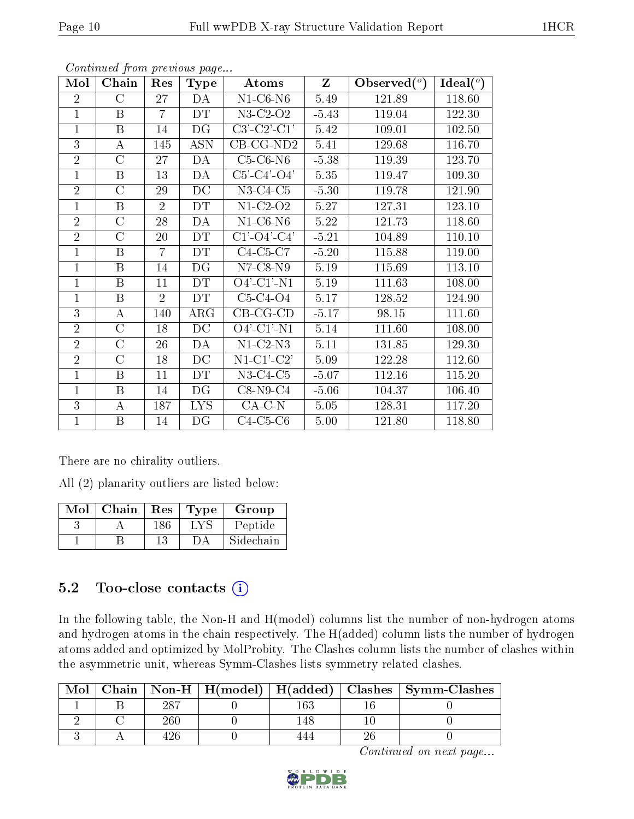| Mol            | Chain            | Res            | <b>Type</b> | Z<br>Atoms                             |          | Observed $(°)$ | $\text{Ideal}({}^o)$ |
|----------------|------------------|----------------|-------------|----------------------------------------|----------|----------------|----------------------|
| $\overline{2}$ | $\rm C$          | 27             | DA          | $N1-C6-N6$                             | 5.49     | 121.89         | 118.60               |
| $\mathbf{1}$   | $\mathbf B$      | $\overline{7}$ | <b>DT</b>   | $\overline{\text{N3}}$ -C2-O2          | $-5.43$  | 119.04         | 122.30               |
| $\mathbf{1}$   | $\boldsymbol{B}$ | 14             | DG          | $C3'-C2'-C1'$                          | 5.42     | 109.01         | 102.50               |
| 3              | $\bf{A}$         | 145            | <b>ASN</b>  | $\text{CB-CG-ND2}$                     | 5.41     | 129.68         | 116.70               |
| $\overline{2}$ | $\rm C$          | 27             | DA          | $C5-C6-N6$                             | $-5.38$  | 119.39         | 123.70               |
| $\mathbf{1}$   | $\boldsymbol{B}$ | 13             | DA          | $C5'$ - $C4'$ - $O4'$                  | 5.35     | 119.47         | 109.30               |
| $\overline{2}$ | $\rm C$          | 29             | DC          | $N3-C4-C5$                             | $-5.30$  | 119.78         | 121.90               |
| 1              | $\boldsymbol{B}$ | $\overline{2}$ | DT          | $N1-C2-O2$                             | 5.27     | 127.31         | 123.10               |
| $\overline{2}$ | $\overline{C}$   | 28             | DA          | $N1-C6-N6$                             | 5.22     | 121.73         | 118.60               |
| $\overline{2}$ | $\overline{C}$   | 20             | DT.         | $\overline{C1'\text{-}O4'\text{-}C4'}$ | $-5.21$  | 104.89         | 110.10               |
| $\mathbf{1}$   | $\boldsymbol{B}$ | $\overline{7}$ | DT          | $C4-C5-C7$                             | $-5.20$  | 115.88         | 119.00               |
| $\mathbf{1}$   | $\mathbf B$      | 14             | DG          | $N7-C8-N9$                             | 5.19     | 115.69         | 113.10               |
| $\mathbf{1}$   | $\mathbf{B}$     | 11             | DT          | $O4'$ -C1'-N1                          | $5.19\,$ | 111.63         | 108.00               |
| $\mathbf{1}$   | $\mathbf B$      | $\overline{2}$ | <b>DT</b>   | $C5-C4-O4$                             | 5.17     | 128.52         | 124.90               |
| $\overline{3}$ | $\bf{A}$         | 140            | $\rm{ARG}$  | $CB-CG-CD$                             | $-5.17$  | 98.15          | 111.60               |
| $\overline{2}$ | $\overline{C}$   | 18             | DC          | $O4'$ -C1'-N1                          | 5.14     | 111.60         | 108.00               |
| $\overline{2}$ | $\overline{C}$   | 26             | DA          | $N1-C2-N3$                             | 5.11     | 131.85         | 129.30               |
| $\overline{2}$ | $\rm C$          | 18             | DC          | $N1-C1-C2$                             | 5.09     | 122.28         | 112.60               |
| $\mathbf{1}$   | $\mathbf B$      | 11             | DT          | $N3-C4-C5$                             | $-5.07$  | 112.16         | 115.20               |
| $\mathbf{1}$   | B                | 14             | DG          | $C8-N9-C4$                             | $-5.06$  | 104.37         | 106.40               |
| 3              | A                | 187            | <b>LYS</b>  | $CA-C-N$                               | 5.05     | 128.31         | 117.20               |
| $\mathbf{1}$   | $\boldsymbol{B}$ | 14             | DG          | $C4-C5-C6$                             | 5.00     | 121.80         | 118.80               |

There are no chirality outliers.

All (2) planarity outliers are listed below:

| Mol | Chain | Res | Type <sup>'</sup> | Group     |
|-----|-------|-----|-------------------|-----------|
|     |       |     |                   | Peptide   |
|     |       | 13  |                   | Sidechain |

### 5.2 Too-close contacts  $(i)$

In the following table, the Non-H and H(model) columns list the number of non-hydrogen atoms and hydrogen atoms in the chain respectively. The H(added) column lists the number of hydrogen atoms added and optimized by MolProbity. The Clashes column lists the number of clashes within the asymmetric unit, whereas Symm-Clashes lists symmetry related clashes.

| Mol |    |    | Chain   Non-H   H(model)   H(added)   Clashes   Symm-Clashes |
|-----|----|----|--------------------------------------------------------------|
|     | റൗ |    |                                                              |
|     |    | 48 |                                                              |
|     |    |    |                                                              |

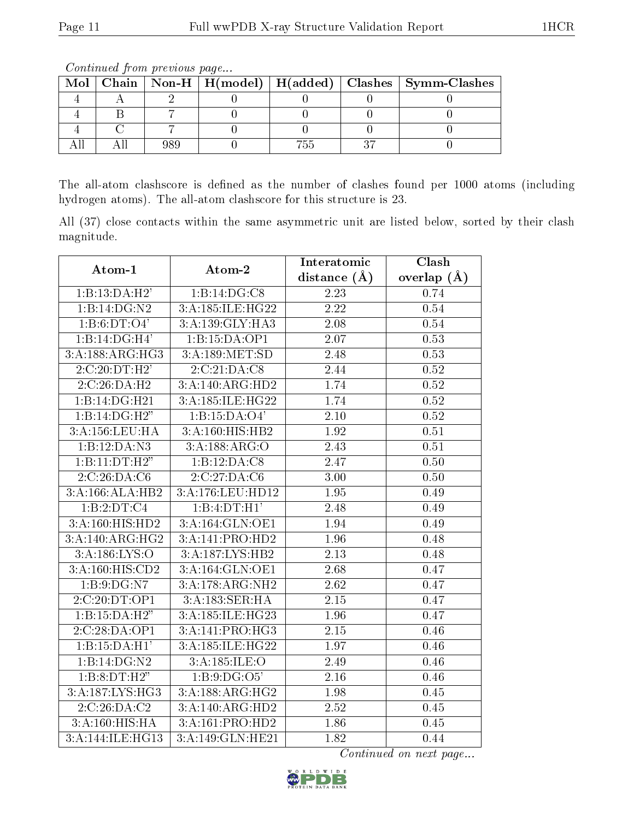| Mol |  |     | $\mid$ Chain $\mid$ Non-H $\mid$ H(model) $\mid$ H(added) $\mid$ Clashes $\mid$ Symm-Clashes |
|-----|--|-----|----------------------------------------------------------------------------------------------|
|     |  |     |                                                                                              |
|     |  |     |                                                                                              |
|     |  |     |                                                                                              |
|     |  | ۵ŀ. |                                                                                              |

Continued from previous page...

The all-atom clashscore is defined as the number of clashes found per 1000 atoms (including hydrogen atoms). The all-atom clashscore for this structure is 23.

All (37) close contacts within the same asymmetric unit are listed below, sorted by their clash magnitude.

| Atom-1                     | Atom-2           | Interatomic       | Clash<br>overlap $(\AA)$<br>0.74<br>0.54<br>0.54<br>0.53<br>0.53<br>0.52<br>0.52<br>0.52<br>0.52<br>0.51<br>0.51<br>0.50<br>0.50<br>0.49<br>0.49<br>0.49<br>0.48<br>0.48<br>0.47<br>0.47<br>0.47<br>0.47<br>0.46<br>0.46<br>0.46<br>0.46 |
|----------------------------|------------------|-------------------|------------------------------------------------------------------------------------------------------------------------------------------------------------------------------------------------------------------------------------------|
|                            |                  | distance $(A)$    |                                                                                                                                                                                                                                          |
| 1:B:13:DA:H2'              | 1:B:14:DG:C8     | $\overline{2.23}$ |                                                                                                                                                                                                                                          |
| 1:B:14:DG:N2               | 3:A:185:ILE:HG22 | 2.22              |                                                                                                                                                                                                                                          |
| 1:B:6:DT:O4'               | 3:A:139:GLY:HA3  | 2.08              |                                                                                                                                                                                                                                          |
| $1:B:14:\overline{DG:H4'}$ | 1:B:15:DA:OP1    | 2.07              |                                                                                                                                                                                                                                          |
| 3:A:188:ARG:HG3            | 3:A:189:MET:SD   | 2.48              |                                                                                                                                                                                                                                          |
| 2:C:20:DT:H2'              | 2:C:21:DA:CS     | 2.44              |                                                                                                                                                                                                                                          |
| 2:C:26:DA:H2               | 3:A:140:ARG:HD2  | 1.74              |                                                                                                                                                                                                                                          |
| 1:B:14:DG:H21              | 3:A:185:ILE:HG22 | 1.74              |                                                                                                                                                                                                                                          |
| 1:B:14:DG:H2"              | 1:B:15:DA:O4'    | 2.10              |                                                                                                                                                                                                                                          |
| 3:A:156:LEU:HA             | 3:A:160:HIS:HB2  | 1.92              |                                                                                                                                                                                                                                          |
| 1:B:12:DA:N3               | 3:A:188:ARG:O    | $\overline{2.43}$ |                                                                                                                                                                                                                                          |
| 1:B:11:DT:H2"              | 1:B:12:DA:C8     | 2.47              |                                                                                                                                                                                                                                          |
| 2:C:26:DA:C6               | 2:C:27:DA:C6     | 3.00              |                                                                                                                                                                                                                                          |
| 3:A:166:ALA:HB2            | 3:A:176:LEU:HD12 | 1.95              |                                                                                                                                                                                                                                          |
| 1:B:2:DT:C4                | 1:B:4:DT:H1'     | 2.48              |                                                                                                                                                                                                                                          |
| 3:A:160:HIS:HD2            | 3:A:164:GLN:OE1  | 1.94              |                                                                                                                                                                                                                                          |
| 3:A:140:ARG:HG2            | 3:A:141:PRO:HD2  | 1.96              |                                                                                                                                                                                                                                          |
| 3:A:186:LYS:O              | 3:A:187:LYS:HB2  | 2.13              |                                                                                                                                                                                                                                          |
| 3:A:160:HIS:CD2            | 3:A:164:GLN:OE1  | 2.68              |                                                                                                                                                                                                                                          |
| 1:B:9:DG:N7                | 3:A:178:ARG:NH2  | $\overline{2.62}$ |                                                                                                                                                                                                                                          |
| 2:C:20:DT:OP1              | 3:A:183:SER:HA   | 2.15              |                                                                                                                                                                                                                                          |
| 1:B:15:DA:H2"              | 3:A:185:ILE:HG23 | 1.96              |                                                                                                                                                                                                                                          |
| 2:C:28:DA:OP1              | 3:A:141:PRO:HG3  | 2.15              |                                                                                                                                                                                                                                          |
| 1:B:15:DA:H1'              | 3:A:185:ILE:HG22 | 1.97              |                                                                                                                                                                                                                                          |
| 1:B:14:DG:N2               | 3:A:185:ILE:O    | 2.49              |                                                                                                                                                                                                                                          |
| 1:B:8:DT:H2"               | 1: B: 9: DG: O5' | 2.16              |                                                                                                                                                                                                                                          |
| 3:A:187:LYS:HG3            | 3:A:188:ARG:HG2  | 1.98              | 0.45                                                                                                                                                                                                                                     |
| 2:C:26:DA:C2               | 3:A:140:ARG:HD2  | 2.52              | 0.45                                                                                                                                                                                                                                     |
| 3:A:160:HIS:HA             | 3:A:161:PRO:HD2  | 1.86              | 0.45                                                                                                                                                                                                                                     |
| 3:A:144:ILE:HG13           | 3:A:149:GLN:HE21 | 1.82              | 0.44                                                                                                                                                                                                                                     |

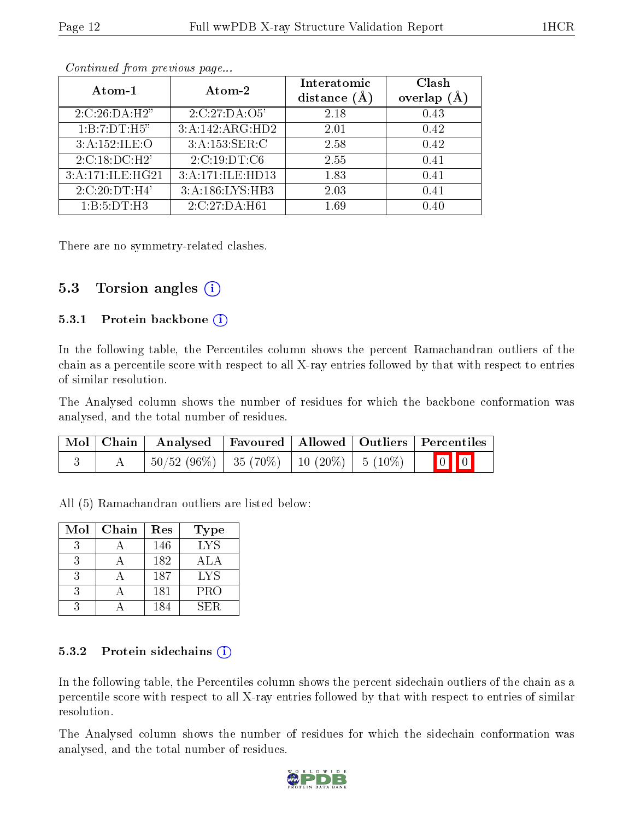| Atom-1           | Atom-2           | Interatomic<br>distance $(A)$ | Clash<br>overlap |
|------------------|------------------|-------------------------------|------------------|
| 2:C:26:DA:H2"    | 2:C:27:DA:O5'    | 2.18                          | 0.43             |
| 1:B:7:DT:H5"     | 3:A:142:ARG:HD2  | 2.01                          | 0.42             |
| 3:A:152:ILE:O    | 3:A:153:SER:C    | 2.58                          | 0.42             |
| 2:C:18:DC:H2'    | 2:C:19:DT:C6     | 2.55                          | 0.41             |
| 3:A:171:ILE:HG21 | 3:A:171:ILE:HD13 | 1.83                          | 0.41             |
| 2:C:20:DT:H4'    | 3:A:186:LYS:HB3  | 2.03                          | 0.41             |
| 1:B:5:DT:H3      | 2:C:27:DA:H61    | 1.69                          | 0.40             |

There are no symmetry-related clashes.

### 5.3 Torsion angles (i)

#### 5.3.1 Protein backbone  $(i)$

In the following table, the Percentiles column shows the percent Ramachandran outliers of the chain as a percentile score with respect to all X-ray entries followed by that with respect to entries of similar resolution.

The Analysed column shows the number of residues for which the backbone conformation was analysed, and the total number of residues.

|  | $\mid$ Mol $\mid$ Chain $\mid$ Analysed $\mid$ Favoured $\mid$ Allowed $\mid$ Outliers $\mid$ Percentiles |  |                         |
|--|-----------------------------------------------------------------------------------------------------------|--|-------------------------|
|  | $\mid 50/52 \; (96\%) \mid 35 \; (70\%) \mid 10 \; (20\%) \mid 5 \; (10\%)$                               |  | $\boxed{0}$ $\boxed{0}$ |

All (5) Ramachandran outliers are listed below:

| Mol | Chain | Res | <b>Type</b> |
|-----|-------|-----|-------------|
|     |       | 146 | <b>LYS</b>  |
|     |       | 182 | ALA         |
|     |       | 187 | <b>LYS</b>  |
|     |       | 181 | PRO         |
|     |       | 184 | SER.        |

#### 5.3.2 Protein sidechains  $(i)$

In the following table, the Percentiles column shows the percent sidechain outliers of the chain as a percentile score with respect to all X-ray entries followed by that with respect to entries of similar resolution.

The Analysed column shows the number of residues for which the sidechain conformation was analysed, and the total number of residues.

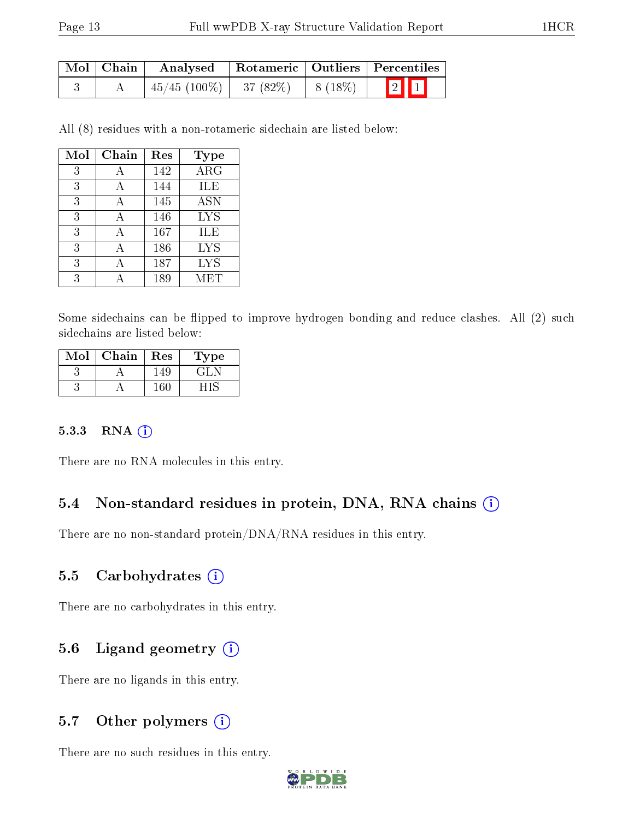| Mol   Chain |                                           | Analysed   Rotameric   Outliers   Percentiles |           |       |  |  |
|-------------|-------------------------------------------|-----------------------------------------------|-----------|-------|--|--|
|             | $\mid 45/45 \; (100\%) \mid 37 \; (82\%)$ |                                               | $8(18\%)$ | $2$ 1 |  |  |

All (8) residues with a non-rotameric sidechain are listed below:

| Mol | Chain | Res | Type       |
|-----|-------|-----|------------|
| 3   | А     | 142 | $\rm{ARG}$ |
| 3   | А     | 144 | ILE        |
| 3   | А     | 145 | <b>ASN</b> |
| 3   |       | 146 | <b>LYS</b> |
| 3   |       | 167 | ILE        |
| 3   |       | 186 | <b>LYS</b> |
| 3   |       | 187 | <b>LYS</b> |
| 3   |       | 189 | MET        |

Some sidechains can be flipped to improve hydrogen bonding and reduce clashes. All (2) such sidechains are listed below:

| Mol | Chain | Res | L'ype |
|-----|-------|-----|-------|
|     |       | 149 | GH.   |
|     |       |     |       |

#### 5.3.3 RNA [O](https://www.wwpdb.org/validation/2017/XrayValidationReportHelp#rna)i

There are no RNA molecules in this entry.

#### 5.4 Non-standard residues in protein, DNA, RNA chains (i)

There are no non-standard protein/DNA/RNA residues in this entry.

### 5.5 Carbohydrates (i)

There are no carbohydrates in this entry.

#### 5.6 Ligand geometry  $(i)$

There are no ligands in this entry.

### 5.7 [O](https://www.wwpdb.org/validation/2017/XrayValidationReportHelp#nonstandard_residues_and_ligands)ther polymers  $(i)$

There are no such residues in this entry.

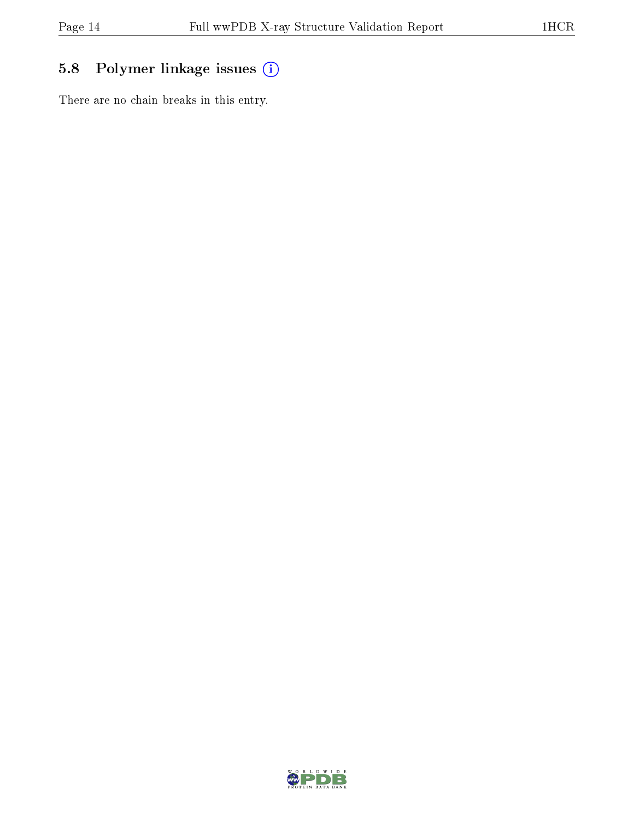## 5.8 Polymer linkage issues (i)

There are no chain breaks in this entry.

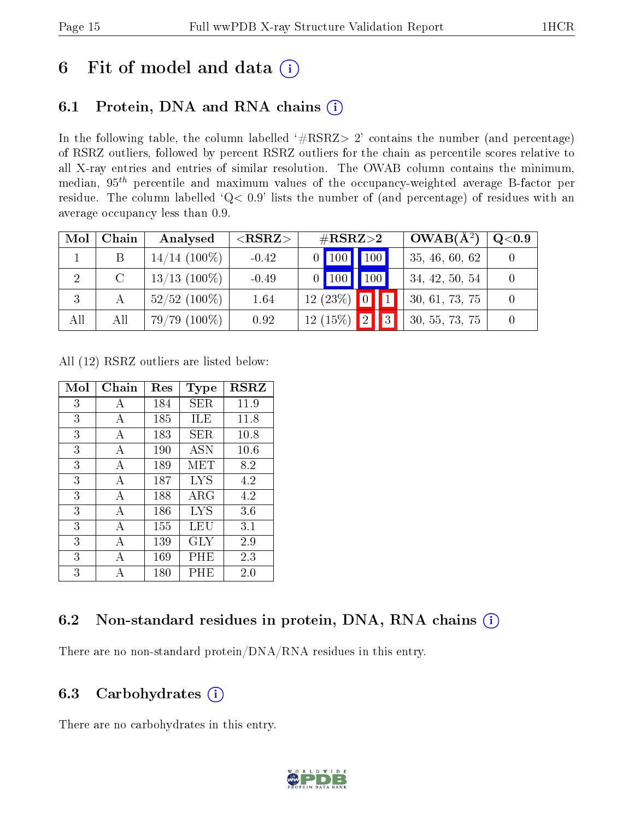# 6 Fit of model and data  $(i)$

## 6.1 Protein, DNA and RNA chains  $(i)$

In the following table, the column labelled  $#RSRZ> 2'$  contains the number (and percentage) of RSRZ outliers, followed by percent RSRZ outliers for the chain as percentile scores relative to all X-ray entries and entries of similar resolution. The OWAB column contains the minimum, median,  $95<sup>th</sup>$  percentile and maximum values of the occupancy-weighted average B-factor per residue. The column labelled ' $Q< 0.9$ ' lists the number of (and percentage) of residues with an average occupancy less than 0.9.

| Mol | Chain  | Analysed        | ${ <\hspace{-1.5pt}{\mathrm{RSRZ}} \hspace{-1.5pt}>}$ | $\#\text{RSRZ}{>}2$ |                   | $OWAB(A^2)$ | $Q<$ 0.9       |  |
|-----|--------|-----------------|-------------------------------------------------------|---------------------|-------------------|-------------|----------------|--|
|     |        | $14/14$ (100%)  | $-0.42$                                               |                     | $0$ 100 100       |             | 35, 46, 60, 62 |  |
| 2   | $\cap$ | $13/13$ (100\%) | $-0.49$                                               |                     | $\vert$ 100   100 |             | 34, 42, 50, 54 |  |
|     |        | $52/52$ (100\%) | 1.64                                                  |                     | $12(23%)$ 0       |             | 30, 61, 73, 75 |  |
| All | All    | $79/79(100\%)$  | 0.92                                                  |                     | $12(15\%)$ 2      | II 3 I      | 30, 55, 73, 75 |  |

All (12) RSRZ outliers are listed below:

| Mol | $Chain$ | Res | <b>Type</b> | <b>RSRZ</b> |
|-----|---------|-----|-------------|-------------|
| 3   | А       | 184 | SER         | 11.9        |
| 3   | A       | 185 | ILE         | 11.8        |
| 3   | A       | 183 | SER         | 10.8        |
| 3   | А       | 190 | ASN         | 10.6        |
| 3   | A       | 189 | MET         | 8.2         |
| 3   | A       | 187 | <b>LYS</b>  | 4.2         |
| 3   | А       | 188 | ${\rm ARG}$ | 4.2         |
| 3   | А       | 186 | LYS         | 3.6         |
| 3   | A       | 155 | LEU         | 3.1         |
| 3   | А       | 139 | GLY         | 2.9         |
| 3   | А       | 169 | $\rm PHE$   | 2.3         |
| 3   |         | 180 | PHE         | 2.0         |

### 6.2 Non-standard residues in protein, DNA, RNA chains  $(i)$

There are no non-standard protein/DNA/RNA residues in this entry.

### 6.3 Carbohydrates (i)

There are no carbohydrates in this entry.